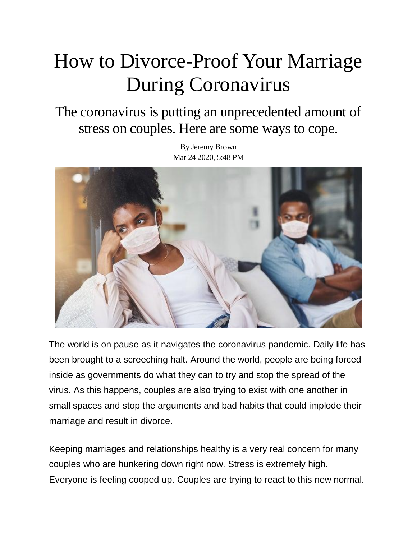# How to Divorce-Proof Your Marriage During Coronavirus

The coronavirus is putting an unprecedented amount of stress on couples. Here are some ways to cope.

> B[y Jeremy Brown](https://www.fatherly.com/community/jeremy-brown/) Mar 24 2020, 5:48 PM



The world is on pause as it navigates the [coronavirus](https://www.fatherly.com/health-science/treating-symptoms-of-coronavirus-parents/) pandemic. Daily life has been brought to a screeching halt. Around the world, people are being forced inside as governments do what they can to try and stop the spread of the virus. As this happens, couples are also trying to exist with one another in [small spaces](https://www.fatherly.com/love-money/fight-cabin-fever-nasa-astronaut-terry-virts/) and stop the arguments and [bad habits](https://www.fatherly.com/love-money/the-bad-habit-all-husbands-and-wives-need-to-avoid/) that could implode their [marriage](https://www.fatherly.com/love-money/relationships/damn-good-marriage-advice/) and result in [divorce.](https://www.fatherly.com/love-money/relationships/marriage-advice-divorce-lawyer/)

Keeping marriages and [relationships](https://www.fatherly.com/love-money/relationships/advice-good-marriage-prevent-divorce/) healthy is a very real concern for many couples who are hunkering down right now. Stress is extremely high. Everyone is feeling cooped up. Couples are trying to react to this new normal.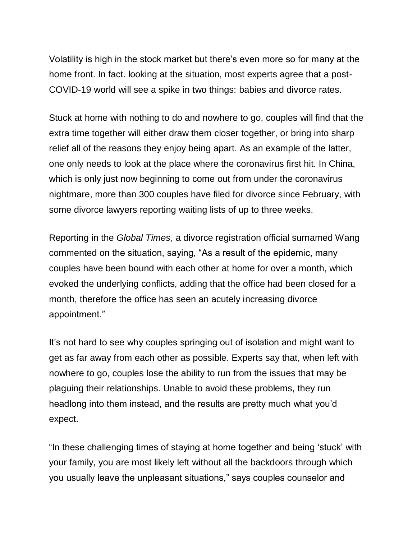Volatility is high in the stock market but there's even more so for many at the home front. In fact. looking at the situation, most experts agree that a post-COVID-19 world will see a spike in two things: [babies](https://www.fatherly.com/news/coronavirus-covid-19-baby-boom-cabin-fever/) and [divorce rates.](https://www.fatherly.com/love-money/relationships/what-is-divorce-rate-america/)

Stuck at home with nothing to do and nowhere to go, couples will find that the extra time together will either draw them closer together, or bring into sharp relief all of the reasons they enjoy being apart. As an example of the latter, one only needs to look at the place where the coronavirus first hit. In China, which is only just now beginning to come out from under the coronavirus nightmare, more than 300 couples have filed for divorce since February, with some divorce lawyers reporting waiting lists of up to three weeks.

Reporting in the *[Global Times](https://www.globaltimes.cn/content/1181829.shtml)*, a divorce registration official surnamed Wang commented on the situation, saying, "As a result of the epidemic, many couples have been bound with each other at home for over a month, which evoked the underlying conflicts, adding that the office had been closed for a month, therefore the office has seen an acutely increasing divorce appointment."

It's not hard to see why couples springing out of isolation and might want to get as far away from each other as possible. Experts say that, when left with nowhere to go, couples lose the ability to run from the issues that may be plaguing their relationships. Unable to avoid these problems, they run headlong into them instead, and the results are pretty much what you'd expect.

"In these challenging times of staying at home together and being 'stuck' with your family, you are most likely left without all the backdoors through which you usually leave the unpleasant situations," says couples counselor and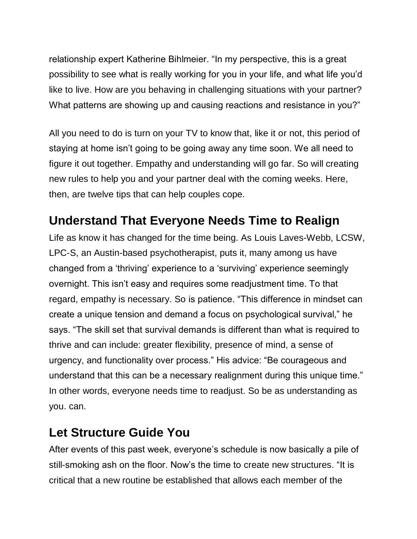relationship expert Katherine Bihlmeier. "In my perspective, this is a great possibility to see what is really working for you in your life, and what life you'd like to live. How are you behaving in challenging situations with your partner? What patterns are showing up and causing reactions and resistance in you?"

All you need to do is turn on your TV to know that, like it or not, this period of staying at home isn't going to be going away any time soon. We all need to figure it out together. Empathy and understanding will go far. So will creating new rules to help you and your partner deal with the coming weeks. Here, then, are twelve tips that can help couples cope.

# **Understand That Everyone Needs Time to Realign**

Life as know it has changed for the time being. As [Louis Laves-Webb,](https://www.louislaves-webb.com/) LCSW, LPC-S, an Austin-based psychotherapist, puts it, many among us have changed from a 'thriving' experience to a 'surviving' experience seemingly overnight. This isn't easy and requires some readjustment time. To that regard, empathy is necessary. So is patience. "This difference in mindset can create a unique tension and demand a focus on psychological survival," he says. "The skill set that survival demands is different than what is required to thrive and can include: greater flexibility, presence of mind, a sense of urgency, and functionality over process." His advice: "Be courageous and understand that this can be a necessary realignment during this unique time." In other words, everyone needs time to readjust. So be as understanding as you. can.

# **Let Structure Guide You**

After events of this past week, everyone's schedule is now basically a pile of still-smoking ash on the floor. Now's the time to [create new structures.](https://www.fatherly.com/love-money/relationships/time-management-tips-parents-working-from-home/) "It is critical that a new routine be established that allows each member of the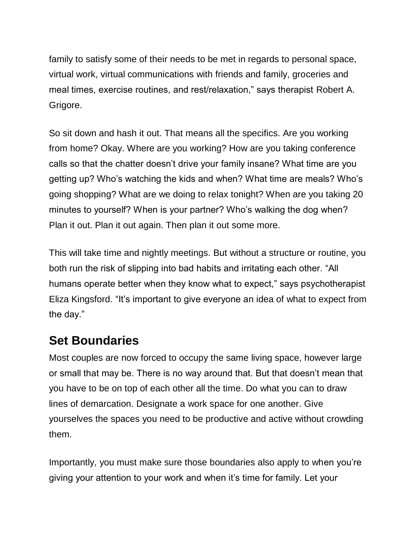family to satisfy some of their needs to be met in regards to personal space, virtual work, virtual communications with friends and family, groceries and meal times, exercise routines, and rest/relaxation," says therapist [Robert A.](https://www.grigorecounselling.com/)  [Grigore.](https://www.grigorecounselling.com/)

So sit down and hash it out. That means all the specifics. Are you working from home? Okay. Where are you working? How are you taking conference calls so that the chatter doesn't drive your family insane? What time are you getting up? Who's watching the kids and when? What time are meals? Who's going shopping? What are we doing to relax tonight? When are you taking 20 minutes to yourself? When is your partner? Who's walking the dog when? Plan it out. Plan it out again. Then plan it out some more.

This will take time and nightly meetings. But without a structure or routine, you both run the risk of slipping into bad habits and irritating each other. "All humans operate better when they know what to expect," says psychotherapist [Eliza Kingsford.](https://www.elizakingsford.com/) "It's important to give everyone an idea of what to expect from the day."

# **Set Boundaries**

Most couples are now forced to occupy the same living space, however large or small that may be. There is no way around that. But that doesn't mean that you have to be on top of each other all the time. Do what you can to draw lines of demarcation. Designate a work space for one another. Give yourselves the spaces you need to be productive and active without crowding them.

Importantly, you must make sure those boundaries also apply to when you're giving your attention to your work and when it's time for family. Let your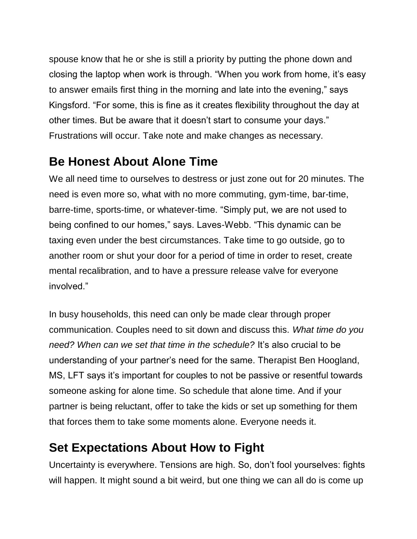spouse know that he or she is still a priority by putting the phone down and closing the laptop when work is through. "When you work from home, it's easy to answer emails first thing in the morning and late into the evening," says Kingsford. "For some, this is fine as it creates flexibility throughout the day at other times. But be aware that it doesn't start to consume your days." Frustrations will occur. Take note and make changes as necessary.

# **Be Honest About Alone Time**

We all [need time to ourselves](https://www.fatherly.com/love-money/relationships/how-to-have-a-life-outside-parenting/) to destress or just zone out for 20 minutes. The need is even more so, what with no more commuting, gym-time, bar-time, barre-time, sports-time, or whatever-time. "Simply put, we are not used to being confined to our homes," says. Laves-Webb. "This dynamic can be taxing even under the best circumstances. Take time to go outside, go to another room or shut your door for a period of time in order to reset, create mental recalibration, and to have a pressure release valve for everyone involved."

In busy households, this need can only be made clear through proper communication. Couples need to sit down and discuss this. *What time do you need? When can we set that time in the schedule?* It's also crucial to be understanding of your partner's need for the same. Therapist [Ben Hoogland,](https://www.psychologytoday.com/us/therapists/ben-hoogland-eden-prairie-mn/186019) MS, LFT says it's important for couples to not be passive or resentful towards someone asking for alone time. So schedule that alone time. And if your partner is being reluctant, offer to take the kids or set up something for them that forces them to take some moments alone. Everyone needs it.

# **Set Expectations About How to Fight**

Uncertainty is everywhere. Tensions are high. So, don't fool yourselves: fights will happen. It might sound a bit weird, but one thing we can all do is come up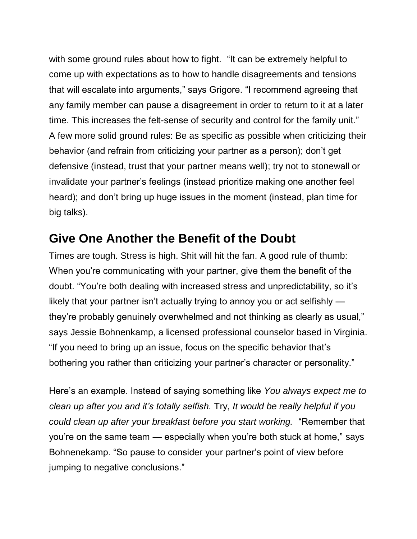with some [ground rules about how to fight.](https://www.fatherly.com/love-money/the-6-most-common-mistakes-couples-make-when-fighting-and-how-to-fix-them/) "It can be extremely helpful to come up with expectations as to how to handle disagreements and tensions that will escalate into arguments," says Grigore. "I recommend agreeing that any family member can pause a disagreement in order to return to it at a later time. This increases the felt-sense of security and control for the family unit." A few more solid ground rules: Be as specific as possible when [criticizing](https://www.fatherly.com/love-money/behaviors-that-breed-contempt-in-marriage/) their behavior (and refrain from criticizing your partner as a person); don't get defensive (instead, trust that your partner means well); try not to stonewall or [invalidate](https://www.fatherly.com/love-money/harmless-phrase-all-husbands-need-to-stop-saying/) your partner's feelings (instead prioritize making one another feel heard); and don't bring up huge issues in the moment (instead, plan time for big talks).

#### **Give One Another the Benefit of the Doubt**

Times are tough. Stress is high. Shit will hit the fan. A good rule of thumb: When you're communicating with your partner, give them the benefit of the doubt. "You're both dealing with increased stress and unpredictability, so it's likely that your partner isn't actually trying to annoy you or act selfishly they're probably genuinely overwhelmed and not thinking as clearly as usual," says [Jessie Bohnenkamp,](https://www.plumcounseling.com/) a licensed professional counselor based in Virginia. "If you need to bring up an issue, focus on the specific behavior that's bothering you rather than criticizing your partner's character or personality."

Here's an example. Instead of saying something like *You always expect me to clean up after you and it's totally selfish.* Try, *It would be really helpful if you could clean up after your breakfast before you start working.* "Remember that you're on the same team — especially when you're both stuck at home," says Bohnenekamp. "So pause to consider your partner's point of view before jumping to negative conclusions."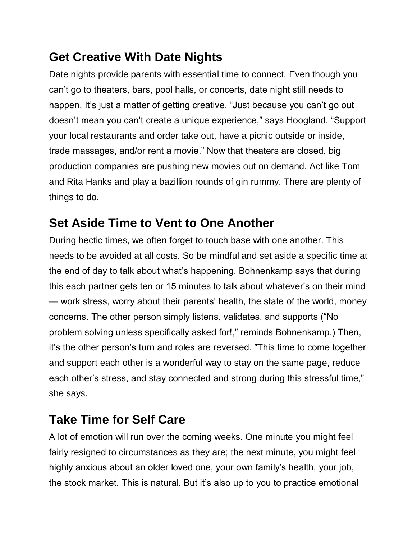# **Get Creative With Date Nights**

[Date nights](https://www.fatherly.com/love-money/sex/sex-life-quickies-date-nights-millionaire-matchmaker/) provide parents with essential time to connect. Even though you can't go to theaters, bars, pool halls, or concerts, date night still needs to happen. It's just a matter of getting creative. "Just because you can't go out doesn't mean you can't create a unique experience," says Hoogland. "Support your local restaurants and order take out, have a picnic outside or inside, trade massages, and/or rent a movie." Now that theaters are closed, big production companies are pushing new movies out on demand. Act like Tom and Rita Hanks and play a bazillion rounds of gin rummy. There are plenty of things to do.

# **Set Aside Time to Vent to One Another**

During hectic times, we often forget to touch base with one another. This needs to be avoided at all costs. So be mindful and set aside a specific time at the end of day to talk about what's happening. Bohnenkamp says that during this each partner gets ten or 15 minutes to talk about whatever's on their mind — work stress, worry about their parents' health, the state of the world, money concerns. The other person simply listens, validates, and supports ("No problem solving unless specifically asked for!," reminds Bohnenkamp.) Then, it's the other person's turn and roles are reversed. "This time to come together and support each other is a wonderful way to stay on the same page, reduce each other's stress, and stay connected and strong during this stressful time," she says.

# **Take Time for Self Care**

A lot of emotion will run over the coming weeks. One minute you might feel fairly resigned to circumstances as they are; the next minute, you might feel highly anxious about an older loved one, your own family's health, your job, the stock market. This is natural. But it's also up to you to practice emotional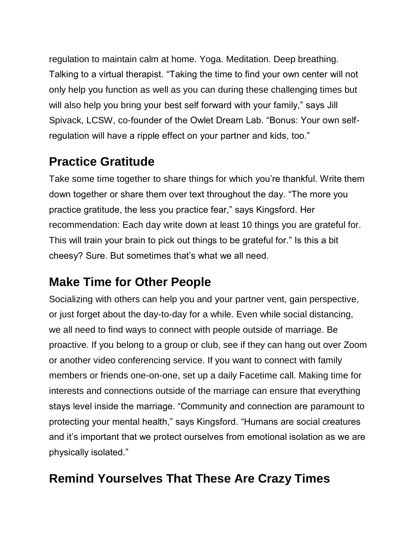regulation to maintain calm at home. Yoga. Meditation. Deep breathing. Talking to a virtual therapist. "Taking the time to find your own center will not only help you function as well as you can during these challenging times but will also help you bring your best self forward with your family," says Jill Spivack, LCSW, co-founder of the Owlet Dream Lab. "Bonus: Your own selfregulation will have a ripple effect on your partner and kids, too."

# **Practice Gratitude**

Take some time together to share things for which you're thankful. Write them down together or share them over text throughout the day. "The more you practice gratitude, the less you practice fear," says Kingsford. Her recommendation: Each day write down at least 10 things you are grateful for. This will train your brain to pick out things to be grateful for." Is this a bit cheesy? Sure. But sometimes that's what we all need.

#### **Make Time for Other People**

Socializing with others can help you and your partner vent, gain perspective, or just forget about the day-to-day for a while. Even while social distancing, we all need to find ways to connect with people outside of marriage. Be proactive. If you belong to a group or club, see if they can hang out over Zoom or another video conferencing service. If you want to connect with family members or friends one-on-one, set up a daily Facetime call. Making time for interests and connections outside of the marriage can ensure that everything stays level inside the marriage. "Community and connection are paramount to protecting your mental health," says Kingsford. "Humans are social creatures and it's important that we protect ourselves from emotional isolation as we are physically isolated."

# **Remind Yourselves That These Are Crazy Times**